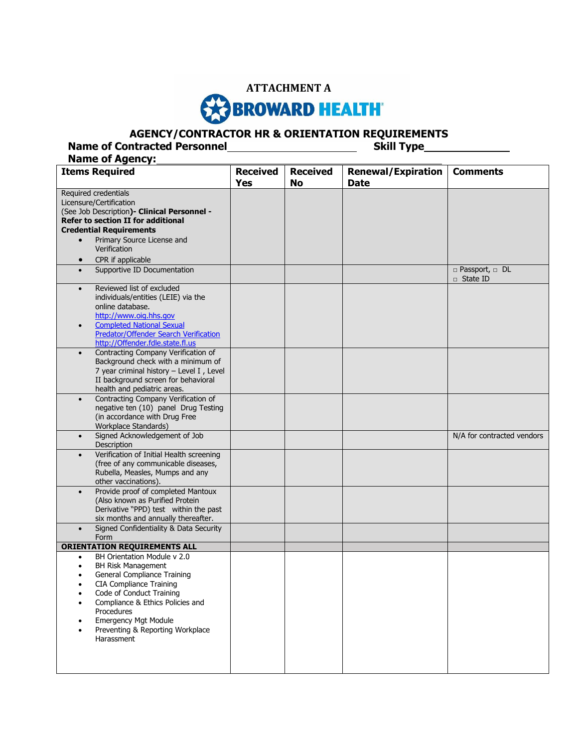

## **AGENCY/CONTRACTOR HR & ORIENTATION REQUIREMENTS**

**Name of Contracted Personnel <b>Skill Type** 

**Name of Agency: Items Required**  Received **Yes Received No Renewal/Expiration Date Comments** Required credentials Licensure/Certification (See Job Description**)- Clinical Personnel - Refer to section II for additional Credential Requirements** • Primary Source License and Verification • CPR if applicable Supportive ID Documentation □ Passport, □ DL □ State ID Reviewed list of excluded individuals/entities (LEIE) via the online database. [http://www.oig.hhs.gov](http://www.oig.hhs.gov/) Completed National Sexual Predator/Offender Search Verification [http://Offender.fdle.state.fl.us](http://offender.fdle.state.fl.us/) Contracting Company Verification of Background check with a minimum of 7 year criminal history – Level I , Level II background screen for behavioral health and pediatric areas. Contracting Company Verification of negative ten (10) panel Drug Testing (in accordance with Drug Free Workplace Standards) Signed Acknowledgement of Job Description N/A for contracted vendors Verification of Initial Health screening (free of any communicable diseases, Rubella, Measles, Mumps and any other vaccinations). Provide proof of completed Mantoux (Also known as Purified Protein Derivative "PPD) test within the past six months and annually thereafter. Signed Confidentiality & Data Security Form **ORIENTATION REQUIREMENTS ALL** BH Orientation Module v 2.0 BH Risk Management General Compliance Training CIA Compliance Training Code of Conduct Training Compliance & Ethics Policies and Procedures Emergency Mgt Module Preventing & Reporting Workplace Harassment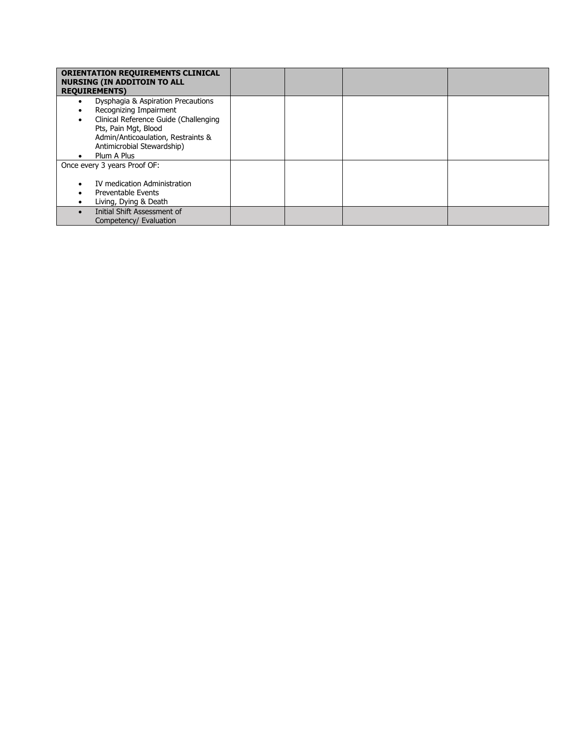| <b>ORIENTATION REQUIREMENTS CLINICAL</b><br><b>NURSING (IN ADDITOIN TO ALL</b> |  |  |
|--------------------------------------------------------------------------------|--|--|
| <b>REQUIREMENTS)</b>                                                           |  |  |
| Dysphagia & Aspiration Precautions                                             |  |  |
| Recognizing Impairment                                                         |  |  |
| Clinical Reference Guide (Challenging                                          |  |  |
| Pts, Pain Mgt, Blood                                                           |  |  |
| Admin/Anticoaulation, Restraints &                                             |  |  |
| Antimicrobial Stewardship)                                                     |  |  |
| Plum A Plus                                                                    |  |  |
| Once every 3 years Proof OF:                                                   |  |  |
|                                                                                |  |  |
| IV medication Administration                                                   |  |  |
| Preventable Events                                                             |  |  |
| Living, Dying & Death                                                          |  |  |
| Initial Shift Assessment of                                                    |  |  |
| Competency/ Evaluation                                                         |  |  |